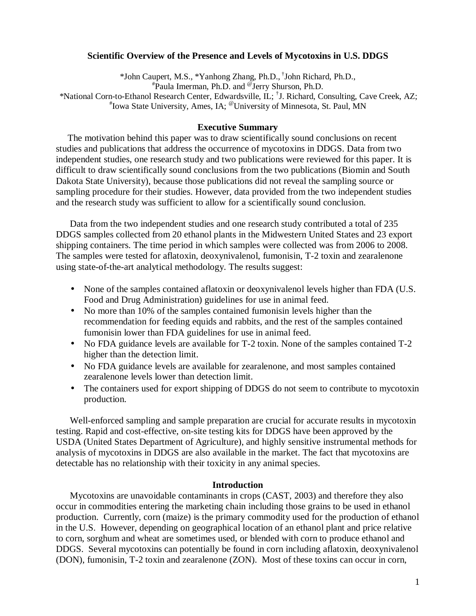#### **Scientific Overview of the Presence and Levels of Mycotoxins in U.S. DDGS**

\*John Caupert, M.S., \*Yanhong Zhang, Ph.D., †John Richard, Ph.D., # Paula Imerman, Ph.D. and @ Jerry Shurson, Ph.D. \*National Corn-to-Ethanol Research Center, Edwardsville, IL; † J. Richard, Consulting, Cave Creek, AZ; # Iowa State University, Ames, IA; @University of Minnesota, St. Paul, MN

#### **Executive Summary**

 The motivation behind this paper was to draw scientifically sound conclusions on recent studies and publications that address the occurrence of mycotoxins in DDGS. Data from two independent studies, one research study and two publications were reviewed for this paper. It is difficult to draw scientifically sound conclusions from the two publications (Biomin and South Dakota State University), because those publications did not reveal the sampling source or sampling procedure for their studies. However, data provided from the two independent studies and the research study was sufficient to allow for a scientifically sound conclusion.

 Data from the two independent studies and one research study contributed a total of 235 DDGS samples collected from 20 ethanol plants in the Midwestern United States and 23 export shipping containers. The time period in which samples were collected was from 2006 to 2008. The samples were tested for aflatoxin, deoxynivalenol, fumonisin, T-2 toxin and zearalenone using state-of-the-art analytical methodology. The results suggest:

- None of the samples contained aflatoxin or deoxynivalenol levels higher than FDA (U.S. Food and Drug Administration) guidelines for use in animal feed.
- No more than 10% of the samples contained fumonisin levels higher than the recommendation for feeding equids and rabbits, and the rest of the samples contained fumonisin lower than FDA guidelines for use in animal feed.
- No FDA guidance levels are available for T-2 toxin. None of the samples contained T-2 higher than the detection limit.
- No FDA guidance levels are available for zearalenone, and most samples contained zearalenone levels lower than detection limit.
- The containers used for export shipping of DDGS do not seem to contribute to mycotoxin production.

 Well-enforced sampling and sample preparation are crucial for accurate results in mycotoxin testing. Rapid and cost-effective, on-site testing kits for DDGS have been approved by the USDA (United States Department of Agriculture), and highly sensitive instrumental methods for analysis of mycotoxins in DDGS are also available in the market. The fact that mycotoxins are detectable has no relationship with their toxicity in any animal species.

### **Introduction**

 Mycotoxins are unavoidable contaminants in crops (CAST, 2003) and therefore they also occur in commodities entering the marketing chain including those grains to be used in ethanol production. Currently, corn (maize) is the primary commodity used for the production of ethanol in the U.S. However, depending on geographical location of an ethanol plant and price relative to corn, sorghum and wheat are sometimes used, or blended with corn to produce ethanol and DDGS. Several mycotoxins can potentially be found in corn including aflatoxin, deoxynivalenol (DON), fumonisin, T-2 toxin and zearalenone (ZON). Most of these toxins can occur in corn,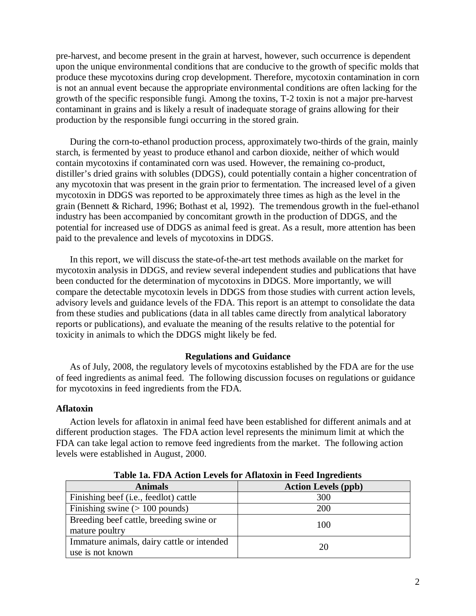pre-harvest, and become present in the grain at harvest, however, such occurrence is dependent upon the unique environmental conditions that are conducive to the growth of specific molds that produce these mycotoxins during crop development. Therefore, mycotoxin contamination in corn is not an annual event because the appropriate environmental conditions are often lacking for the growth of the specific responsible fungi. Among the toxins, T-2 toxin is not a major pre-harvest contaminant in grains and is likely a result of inadequate storage of grains allowing for their production by the responsible fungi occurring in the stored grain.

 During the corn-to-ethanol production process, approximately two-thirds of the grain, mainly starch, is fermented by yeast to produce ethanol and carbon dioxide, neither of which would contain mycotoxins if contaminated corn was used. However, the remaining co-product, distiller's dried grains with solubles (DDGS), could potentially contain a higher concentration of any mycotoxin that was present in the grain prior to fermentation. The increased level of a given mycotoxin in DDGS was reported to be approximately three times as high as the level in the grain (Bennett & Richard, 1996; Bothast et al, 1992). The tremendous growth in the fuel-ethanol industry has been accompanied by concomitant growth in the production of DDGS, and the potential for increased use of DDGS as animal feed is great. As a result, more attention has been paid to the prevalence and levels of mycotoxins in DDGS.

 In this report, we will discuss the state-of-the-art test methods available on the market for mycotoxin analysis in DDGS, and review several independent studies and publications that have been conducted for the determination of mycotoxins in DDGS. More importantly, we will compare the detectable mycotoxin levels in DDGS from those studies with current action levels, advisory levels and guidance levels of the FDA. This report is an attempt to consolidate the data from these studies and publications (data in all tables came directly from analytical laboratory reports or publications), and evaluate the meaning of the results relative to the potential for toxicity in animals to which the DDGS might likely be fed.

#### **Regulations and Guidance**

As of July, 2008, the regulatory levels of mycotoxins established by the FDA are for the use of feed ingredients as animal feed. The following discussion focuses on regulations or guidance for mycotoxins in feed ingredients from the FDA.

#### **Aflatoxin**

 Action levels for aflatoxin in animal feed have been established for different animals and at different production stages. The FDA action level represents the minimum limit at which the FDA can take legal action to remove feed ingredients from the market. The following action levels were established in August, 2000.

| Tuble Tul I Dit iterion Developtor inhuroant in I cea migreulemb |                            |  |  |  |  |  |
|------------------------------------------------------------------|----------------------------|--|--|--|--|--|
| <b>Animals</b>                                                   | <b>Action Levels (ppb)</b> |  |  |  |  |  |
| Finishing beef (i.e., feedlot) cattle                            | 300                        |  |  |  |  |  |
| Finishing swine $(>100$ pounds)                                  | 200                        |  |  |  |  |  |
| Breeding beef cattle, breeding swine or<br>mature poultry        | 100                        |  |  |  |  |  |
| Immature animals, dairy cattle or intended<br>use is not known   | 20                         |  |  |  |  |  |

**Table 1a. FDA Action Levels for Aflatoxin in Feed Ingredients**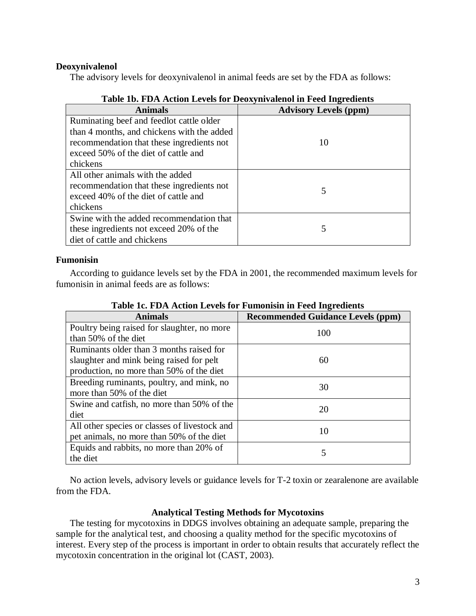## **Deoxynivalenol**

The advisory levels for deoxynivalenol in animal feeds are set by the FDA as follows:

| Tuble 1994 I Dit Hetten Det eis 191 Debayin vulchen in 1 eeu migreulents |                              |
|--------------------------------------------------------------------------|------------------------------|
| <b>Animals</b>                                                           | <b>Advisory Levels (ppm)</b> |
| Ruminating beef and feedlot cattle older                                 |                              |
| than 4 months, and chickens with the added                               |                              |
| recommendation that these ingredients not                                | 10                           |
| exceed 50% of the diet of cattle and                                     |                              |
| chickens                                                                 |                              |
| All other animals with the added                                         |                              |
| recommendation that these ingredients not                                |                              |
| exceed 40% of the diet of cattle and                                     | 5                            |
| chickens                                                                 |                              |
| Swine with the added recommendation that                                 |                              |
| these ingredients not exceed 20% of the                                  | 5                            |
| diet of cattle and chickens                                              |                              |

## **Table 1b. FDA Action Levels for Deoxynivalenol in Feed Ingredients**

### **Fumonisin**

 According to guidance levels set by the FDA in 2001, the recommended maximum levels for fumonisin in animal feeds are as follows:

| <b>Animals</b>                                | <b>Recommended Guidance Levels (ppm)</b> |
|-----------------------------------------------|------------------------------------------|
| Poultry being raised for slaughter, no more   | 100                                      |
| than 50% of the diet                          |                                          |
| Ruminants older than 3 months raised for      |                                          |
| slaughter and mink being raised for pelt      | 60                                       |
| production, no more than 50% of the diet      |                                          |
| Breeding ruminants, poultry, and mink, no     | 30                                       |
| more than 50% of the diet                     |                                          |
| Swine and catfish, no more than 50% of the    | 20                                       |
| diet                                          |                                          |
| All other species or classes of livestock and | 10                                       |
| pet animals, no more than 50% of the diet     |                                          |
| Equids and rabbits, no more than 20% of       |                                          |
| the diet                                      | 5                                        |

**Table 1c. FDA Action Levels for Fumonisin in Feed Ingredients**

 No action levels, advisory levels or guidance levels for T-2 toxin or zearalenone are available from the FDA.

### **Analytical Testing Methods for Mycotoxins**

 The testing for mycotoxins in DDGS involves obtaining an adequate sample, preparing the sample for the analytical test, and choosing a quality method for the specific mycotoxins of interest. Every step of the process is important in order to obtain results that accurately reflect the mycotoxin concentration in the original lot (CAST, 2003).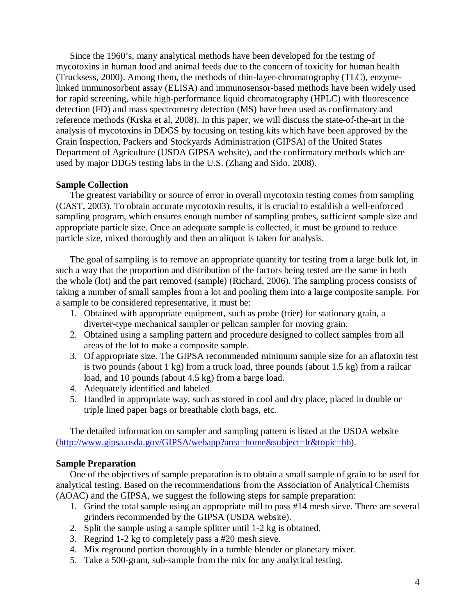Since the 1960's, many analytical methods have been developed for the testing of mycotoxins in human food and animal feeds due to the concern of toxicity for human health (Trucksess, 2000). Among them, the methods of thin-layer-chromatography (TLC), enzymelinked immunosorbent assay (ELISA) and immunosensor-based methods have been widely used for rapid screening, while high-performance liquid chromatography (HPLC) with fluorescence detection (FD) and mass spectrometry detection (MS) have been used as confirmatory and reference methods (Krska et al, 2008). In this paper, we will discuss the state-of-the-art in the analysis of mycotoxins in DDGS by focusing on testing kits which have been approved by the Grain Inspection, Packers and Stockyards Administration (GIPSA) of the United States Department of Agriculture (USDA GIPSA website), and the confirmatory methods which are used by major DDGS testing labs in the U.S. (Zhang and Sido, 2008).

### **Sample Collection**

 The greatest variability or source of error in overall mycotoxin testing comes from sampling (CAST, 2003). To obtain accurate mycotoxin results, it is crucial to establish a well-enforced sampling program, which ensures enough number of sampling probes, sufficient sample size and appropriate particle size. Once an adequate sample is collected, it must be ground to reduce particle size, mixed thoroughly and then an aliquot is taken for analysis.

 The goal of sampling is to remove an appropriate quantity for testing from a large bulk lot, in such a way that the proportion and distribution of the factors being tested are the same in both the whole (lot) and the part removed (sample) (Richard, 2006). The sampling process consists of taking a number of small samples from a lot and pooling them into a large composite sample. For a sample to be considered representative, it must be:

- 1. Obtained with appropriate equipment, such as probe (trier) for stationary grain, a diverter-type mechanical sampler or pelican sampler for moving grain.
- 2. Obtained using a sampling pattern and procedure designed to collect samples from all areas of the lot to make a composite sample.
- 3. Of appropriate size. The GIPSA recommended minimum sample size for an aflatoxin test is two pounds (about 1 kg) from a truck load, three pounds (about 1.5 kg) from a railcar load, and 10 pounds (about 4.5 kg) from a barge load.
- 4. Adequately identified and labeled.
- 5. Handled in appropriate way, such as stored in cool and dry place, placed in double or triple lined paper bags or breathable cloth bags, etc.

 The detailed information on sampler and sampling pattern is listed at the USDA website (http://www.gipsa.usda.gov/GIPSA/webapp?area=home&subject=lr&topic=hb).

### **Sample Preparation**

One of the objectives of sample preparation is to obtain a small sample of grain to be used for analytical testing. Based on the recommendations from the Association of Analytical Chemists (AOAC) and the GIPSA, we suggest the following steps for sample preparation:

- 1. Grind the total sample using an appropriate mill to pass #14 mesh sieve. There are several grinders recommended by the GIPSA (USDA website).
- 2. Split the sample using a sample splitter until 1-2 kg is obtained.
- 3. Regrind 1-2 kg to completely pass a #20 mesh sieve.
- 4. Mix reground portion thoroughly in a tumble blender or planetary mixer.
- 5. Take a 500-gram, sub-sample from the mix for any analytical testing.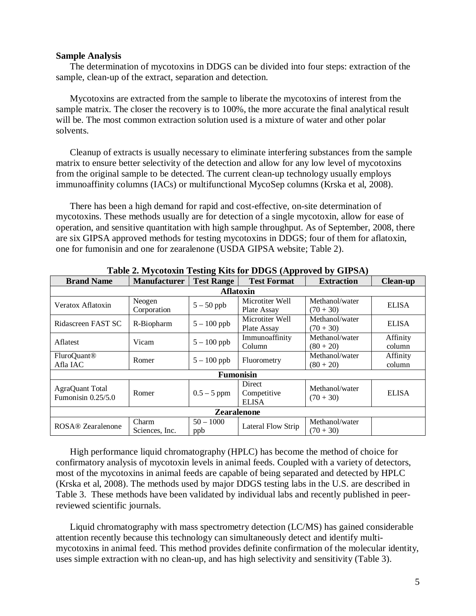#### **Sample Analysis**

 The determination of mycotoxins in DDGS can be divided into four steps: extraction of the sample, clean-up of the extract, separation and detection.

 Mycotoxins are extracted from the sample to liberate the mycotoxins of interest from the sample matrix. The closer the recovery is to 100%, the more accurate the final analytical result will be. The most common extraction solution used is a mixture of water and other polar solvents.

 Cleanup of extracts is usually necessary to eliminate interfering substances from the sample matrix to ensure better selectivity of the detection and allow for any low level of mycotoxins from the original sample to be detected. The current clean-up technology usually employs immunoaffinity columns (IACs) or multifunctional MycoSep columns (Krska et al, 2008).

 There has been a high demand for rapid and cost-effective, on-site determination of mycotoxins. These methods usually are for detection of a single mycotoxin, allow for ease of operation, and sensitive quantitation with high sample throughput. As of September, 2008, there are six GIPSA approved methods for testing mycotoxins in DDGS; four of them for aflatoxin, one for fumonisin and one for zearalenone (USDA GIPSA website; Table 2).

| <b>Brand Name</b>                     | <b>Manufacturer</b>     | <b>Test Range</b><br><b>Test Format</b>         |                                       | <b>Extraction</b>             | <b>Clean-up</b>    |  |  |  |
|---------------------------------------|-------------------------|-------------------------------------------------|---------------------------------------|-------------------------------|--------------------|--|--|--|
| <b>Aflatoxin</b>                      |                         |                                                 |                                       |                               |                    |  |  |  |
| Veratox Aflatoxin                     | Neogen<br>Corporation   | $5-50$ ppb                                      | Microtiter Well<br>Plate Assay        | Methanol/water<br>$(70 + 30)$ | <b>ELISA</b>       |  |  |  |
| Ridascreen FAST SC                    | R-Biopharm              | Microtiter Well<br>$5 - 100$ ppb<br>Plate Assay |                                       | Methanol/water<br>$(70 + 30)$ | <b>ELISA</b>       |  |  |  |
| Aflatest                              | Vicam                   | $5 - 100$ ppb                                   | Immunoaffinity<br>Column              | Methanol/water<br>$(80 + 20)$ | Affinity<br>column |  |  |  |
| <b>FluroQuant®</b><br>Afla IAC        | Romer                   | $5 - 100$ ppb                                   | Fluorometry                           | Methanol/water<br>$(80 + 20)$ | Affinity<br>column |  |  |  |
|                                       |                         |                                                 | <b>Fumonisin</b>                      |                               |                    |  |  |  |
| AgraQuant Total<br>Fumonisin 0.25/5.0 | Romer                   | $0.5 - 5$ ppm                                   | Direct<br>Competitive<br><b>ELISA</b> | Methanol/water<br>$(70 + 30)$ | <b>ELISA</b>       |  |  |  |
| <b>Zearalenone</b>                    |                         |                                                 |                                       |                               |                    |  |  |  |
| ROSA® Zearalenone                     | Charm<br>Sciences, Inc. | $50 - 1000$<br>ppb                              | Lateral Flow Strip                    | Methanol/water<br>$(70 + 30)$ |                    |  |  |  |

**Table 2. Mycotoxin Testing Kits for DDGS (Approved by GIPSA)** 

 High performance liquid chromatography (HPLC) has become the method of choice for confirmatory analysis of mycotoxin levels in animal feeds. Coupled with a variety of detectors, most of the mycotoxins in animal feeds are capable of being separated and detected by HPLC (Krska et al, 2008). The methods used by major DDGS testing labs in the U.S. are described in Table 3. These methods have been validated by individual labs and recently published in peerreviewed scientific journals.

 Liquid chromatography with mass spectrometry detection (LC/MS) has gained considerable attention recently because this technology can simultaneously detect and identify multimycotoxins in animal feed. This method provides definite confirmation of the molecular identity, uses simple extraction with no clean-up, and has high selectivity and sensitivity (Table 3).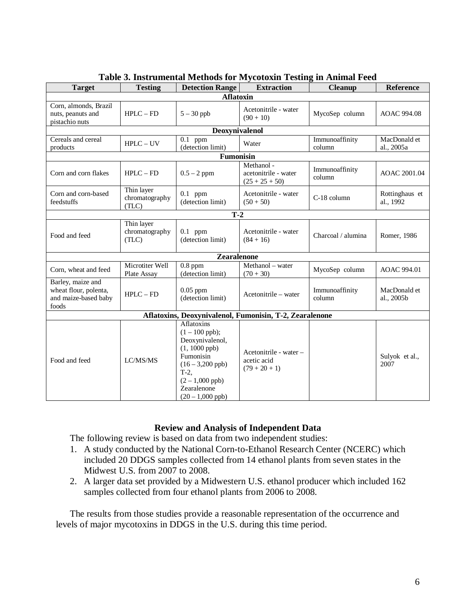| <b>Target</b>                 | <b>Testing</b>          | <b>Detection Range</b>         | <b>Extraction</b>                                       | <b>Cleanup</b>     | <b>Reference</b>   |  |
|-------------------------------|-------------------------|--------------------------------|---------------------------------------------------------|--------------------|--------------------|--|
|                               |                         | <b>Aflatoxin</b>               |                                                         |                    |                    |  |
| Corn, almonds, Brazil         |                         |                                |                                                         |                    |                    |  |
| nuts, peanuts and             | $HPLC - FD$             | $5 - 30$ ppb                   | Acetonitrile - water                                    | MycoSep column     | <b>AOAC 994.08</b> |  |
| pistachio nuts                |                         |                                | $(90 + 10)$                                             |                    |                    |  |
| Deoxynivalenol                |                         |                                |                                                         |                    |                    |  |
| Cereals and cereal            | $HPLC - UV$             | $\overline{0.1}$ ppm           | Water                                                   | Immunoaffinity     | MacDonald et       |  |
| products                      |                         | (detection limit)              |                                                         | column             | al., 2005a         |  |
|                               |                         | Fumonisin                      |                                                         |                    |                    |  |
|                               |                         |                                | Methanol -                                              | Immunoaffinity     | AOAC 2001.04       |  |
| Corn and corn flakes          | $HPLC - FD$             | $0.5 - 2$ ppm                  | acetonitrile - water<br>$(25 + 25 + 50)$                | column             |                    |  |
| Corn and corn-based           | Thin layer              | $0.1$ ppm                      | Acetonitrile - water                                    |                    | Rottinghaus et     |  |
| feedstuffs                    | chromatography          | (detection limit)              | $(50 + 50)$                                             | C-18 column        | al., 1992          |  |
|                               | (TLC)                   |                                |                                                         |                    |                    |  |
|                               |                         | $T-2$                          |                                                         |                    |                    |  |
|                               | Thin layer              |                                |                                                         |                    |                    |  |
| Food and feed                 | chromatography<br>(TLC) | $0.1$ ppm<br>(detection limit) | Acetonitrile - water<br>$(84+16)$                       | Charcoal / alumina | Romer, 1986        |  |
|                               |                         |                                |                                                         |                    |                    |  |
|                               |                         | Zearalenone                    |                                                         |                    |                    |  |
| Corn, wheat and feed          | Microtiter Well         | $0.8$ ppm                      | Methanol – water                                        | MycoSep column     | AOAC 994.01        |  |
|                               | Plate Assay             | (detection limit)              | $(70 + 30)$                                             |                    |                    |  |
| Barley, maize and             |                         |                                |                                                         |                    |                    |  |
| wheat flour, polenta,         | $HPLC - FD$             | $0.05$ ppm                     | Acetonitrile – water                                    | Immunoaffinity     | MacDonald et       |  |
| and maize-based baby<br>foods |                         | (detection limit)              |                                                         | column             | al., 2005b         |  |
|                               |                         |                                | Aflatoxins, Deoxynivalenol, Fumonisin, T-2, Zearalenone |                    |                    |  |
|                               |                         | Aflatoxins                     |                                                         |                    |                    |  |
|                               |                         | $(1 - 100$ ppb);               |                                                         |                    |                    |  |
|                               |                         | Deoxynivalenol,                |                                                         |                    |                    |  |
|                               |                         | $(1, 1000$ ppb)                |                                                         |                    |                    |  |
| Food and feed                 |                         | Fumonisin                      | Acetonitrile - water -                                  |                    | Sulyok et al.,     |  |
|                               | LC/MS/MS                | $(16 - 3,200$ ppb)             | acetic acid                                             |                    | 2007               |  |
|                               |                         | $T-2$ ,                        | $(79 + 20 + 1)$                                         |                    |                    |  |
|                               |                         | $(2 - 1,000$ ppb)              |                                                         |                    |                    |  |
|                               |                         | Zearalenone                    |                                                         |                    |                    |  |
|                               |                         | $(20 - 1,000$ ppb)             |                                                         |                    |                    |  |

|  | Table 3. Instrumental Methods for Mycotoxin Testing in Animal Feed |  |  |
|--|--------------------------------------------------------------------|--|--|
|  |                                                                    |  |  |
|  |                                                                    |  |  |

## **Review and Analysis of Independent Data**

The following review is based on data from two independent studies:

- 1. A study conducted by the National Corn-to-Ethanol Research Center (NCERC) which included 20 DDGS samples collected from 14 ethanol plants from seven states in the Midwest U.S. from 2007 to 2008.
- 2. A larger data set provided by a Midwestern U.S. ethanol producer which included 162 samples collected from four ethanol plants from 2006 to 2008.

 The results from those studies provide a reasonable representation of the occurrence and levels of major mycotoxins in DDGS in the U.S. during this time period.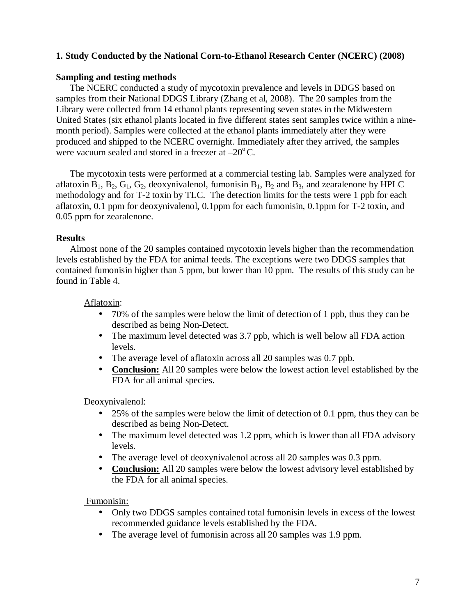## **1. Study Conducted by the National Corn-to-Ethanol Research Center (NCERC) (2008)**

### **Sampling and testing methods**

 The NCERC conducted a study of mycotoxin prevalence and levels in DDGS based on samples from their National DDGS Library (Zhang et al, 2008). The 20 samples from the Library were collected from 14 ethanol plants representing seven states in the Midwestern United States (six ethanol plants located in five different states sent samples twice within a ninemonth period). Samples were collected at the ethanol plants immediately after they were produced and shipped to the NCERC overnight. Immediately after they arrived, the samples were vacuum sealed and stored in a freezer at  $-20^{\circ}$ C.

 The mycotoxin tests were performed at a commercial testing lab. Samples were analyzed for aflatoxin  $B_1$ ,  $B_2$ ,  $G_1$ ,  $G_2$ , deoxynivalenol, fumonisin  $B_1$ ,  $B_2$  and  $B_3$ , and zearalenone by HPLC methodology and for T-2 toxin by TLC. The detection limits for the tests were 1 ppb for each aflatoxin, 0.1 ppm for deoxynivalenol, 0.1ppm for each fumonisin, 0.1ppm for T-2 toxin, and 0.05 ppm for zearalenone.

## **Results**

 Almost none of the 20 samples contained mycotoxin levels higher than the recommendation levels established by the FDA for animal feeds. The exceptions were two DDGS samples that contained fumonisin higher than 5 ppm, but lower than 10 ppm. The results of this study can be found in Table 4.

## Aflatoxin:

- 70% of the samples were below the limit of detection of 1 ppb, thus they can be described as being Non-Detect.
- The maximum level detected was 3.7 ppb, which is well below all FDA action levels.
- The average level of aflatoxin across all 20 samples was 0.7 ppb.
- **Conclusion:** All 20 samples were below the lowest action level established by the FDA for all animal species.

Deoxynivalenol:

- 25% of the samples were below the limit of detection of 0.1 ppm, thus they can be described as being Non-Detect.
- The maximum level detected was 1.2 ppm, which is lower than all FDA advisory levels.
- The average level of deoxynivalenol across all 20 samples was 0.3 ppm.
- **Conclusion:** All 20 samples were below the lowest advisory level established by the FDA for all animal species.

Fumonisin:

- Only two DDGS samples contained total fumonisin levels in excess of the lowest recommended guidance levels established by the FDA.
- The average level of fumonisin across all 20 samples was 1.9 ppm.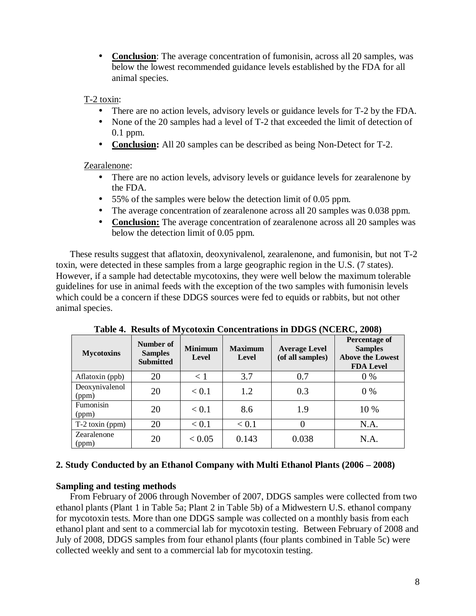• **Conclusion**: The average concentration of fumonisin, across all 20 samples, was below the lowest recommended guidance levels established by the FDA for all animal species.

## T-2 toxin:

- There are no action levels, advisory levels or guidance levels for T-2 by the FDA.
- None of the 20 samples had a level of T-2 that exceeded the limit of detection of 0.1 ppm.
- **Conclusion:** All 20 samples can be described as being Non-Detect for T-2.

# Zearalenone:

- There are no action levels, advisory levels or guidance levels for zearalenone by the FDA.
- 55% of the samples were below the detection limit of 0.05 ppm.
- The average concentration of zearalenone across all 20 samples was 0.038 ppm.
- **Conclusion:** The average concentration of zearalenone across all 20 samples was below the detection limit of 0.05 ppm.

These results suggest that aflatoxin, deoxynivalenol, zearalenone, and fumonisin, but not T-2 toxin, were detected in these samples from a large geographic region in the U.S. (7 states). However, if a sample had detectable mycotoxins, they were well below the maximum tolerable guidelines for use in animal feeds with the exception of the two samples with fumonisin levels which could be a concern if these DDGS sources were fed to equids or rabbits, but not other animal species.

| <b>Mycotoxins</b>       | Number of<br><b>Samples</b><br><b>Submitted</b> | <b>Minimum</b><br><b>Level</b> | <b>Maximum</b><br>Level | <b>Average Level</b><br>(of all samples) | <b>Percentage of</b><br><b>Samples</b><br><b>Above the Lowest</b><br><b>FDA Level</b> |
|-------------------------|-------------------------------------------------|--------------------------------|-------------------------|------------------------------------------|---------------------------------------------------------------------------------------|
| Aflatoxin (ppb)         | 20                                              | $\leq 1$                       | 3.7                     | 0.7                                      | $0\%$                                                                                 |
| Deoxynivalenol<br>(ppm) | 20                                              | < 0.1                          | 1.2                     | 0.3                                      | $0\%$                                                                                 |
| Fumonisin<br>(ppm)      | 20                                              | < 0.1                          | 8.6                     | 1.9                                      | 10 %                                                                                  |
| $T-2$ toxin (ppm)       | 20                                              | < 0.1                          | < 0.1                   |                                          | N.A.                                                                                  |
| Zearalenone<br>(ppm)    | 20                                              | < 0.05                         | 0.143                   | 0.038                                    | N.A.                                                                                  |

**Table 4. Results of Mycotoxin Concentrations in DDGS (NCERC, 2008)** 

## **2. Study Conducted by an Ethanol Company with Multi Ethanol Plants (2006 – 2008)**

# **Sampling and testing methods**

 From February of 2006 through November of 2007, DDGS samples were collected from two ethanol plants (Plant 1 in Table 5a; Plant 2 in Table 5b) of a Midwestern U.S. ethanol company for mycotoxin tests. More than one DDGS sample was collected on a monthly basis from each ethanol plant and sent to a commercial lab for mycotoxin testing. Between February of 2008 and July of 2008, DDGS samples from four ethanol plants (four plants combined in Table 5c) were collected weekly and sent to a commercial lab for mycotoxin testing.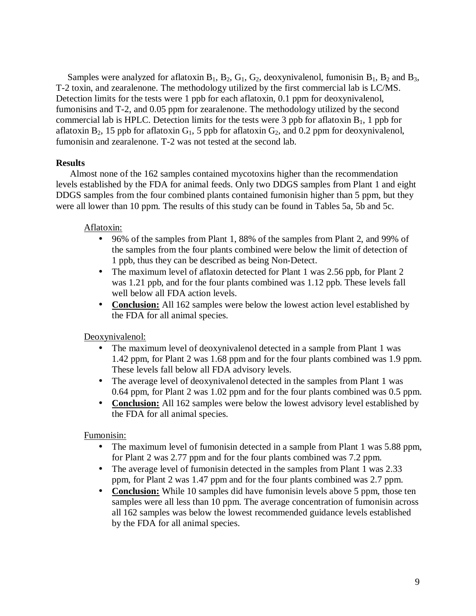Samples were analyzed for aflatoxin  $B_1$ ,  $B_2$ ,  $G_1$ ,  $G_2$ , deoxynivalenol, fumonisin  $B_1$ ,  $B_2$  and  $B_3$ , T-2 toxin, and zearalenone. The methodology utilized by the first commercial lab is LC/MS. Detection limits for the tests were 1 ppb for each aflatoxin, 0.1 ppm for deoxynivalenol, fumonisins and T-2, and 0.05 ppm for zearalenone. The methodology utilized by the second commercial lab is HPLC. Detection limits for the tests were 3 ppb for aflatoxin  $B_1$ , 1 ppb for aflatoxin  $B_2$ , 15 ppb for aflatoxin  $G_1$ , 5 ppb for aflatoxin  $G_2$ , and 0.2 ppm for deoxynivalenol, fumonisin and zearalenone. T-2 was not tested at the second lab.

## **Results**

 Almost none of the 162 samples contained mycotoxins higher than the recommendation levels established by the FDA for animal feeds. Only two DDGS samples from Plant 1 and eight DDGS samples from the four combined plants contained fumonisin higher than 5 ppm, but they were all lower than 10 ppm. The results of this study can be found in Tables 5a, 5b and 5c.

## Aflatoxin:

- 96% of the samples from Plant 1, 88% of the samples from Plant 2, and 99% of the samples from the four plants combined were below the limit of detection of 1 ppb, thus they can be described as being Non-Detect.
- The maximum level of aflatoxin detected for Plant 1 was 2.56 ppb, for Plant 2 was 1.21 ppb, and for the four plants combined was 1.12 ppb. These levels fall well below all FDA action levels.
- **Conclusion:** All 162 samples were below the lowest action level established by the FDA for all animal species.

Deoxynivalenol:

- The maximum level of deoxynivalenol detected in a sample from Plant 1 was 1.42 ppm, for Plant 2 was 1.68 ppm and for the four plants combined was 1.9 ppm. These levels fall below all FDA advisory levels.
- The average level of deoxynivalenol detected in the samples from Plant 1 was 0.64 ppm, for Plant 2 was 1.02 ppm and for the four plants combined was 0.5 ppm.
- **Conclusion:** All 162 samples were below the lowest advisory level established by the FDA for all animal species.

Fumonisin:

- The maximum level of fumonisin detected in a sample from Plant 1 was 5.88 ppm, for Plant 2 was 2.77 ppm and for the four plants combined was 7.2 ppm.
- The average level of fumonisin detected in the samples from Plant 1 was 2.33 ppm, for Plant 2 was 1.47 ppm and for the four plants combined was 2.7 ppm.
- **Conclusion:** While 10 samples did have fumonisin levels above 5 ppm, those ten samples were all less than 10 ppm. The average concentration of fumonisin across all 162 samples was below the lowest recommended guidance levels established by the FDA for all animal species.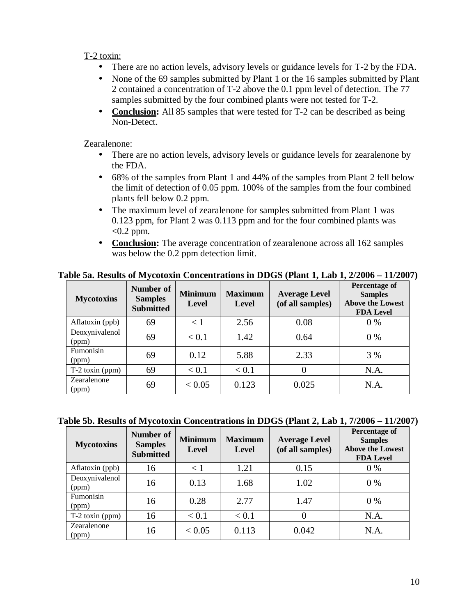## T-2 toxin:

- There are no action levels, advisory levels or guidance levels for T-2 by the FDA.
- None of the 69 samples submitted by Plant 1 or the 16 samples submitted by Plant 2 contained a concentration of T-2 above the 0.1 ppm level of detection. The 77 samples submitted by the four combined plants were not tested for T-2.
- **Conclusion:** All 85 samples that were tested for T-2 can be described as being Non-Detect.

## Zearalenone:

- There are no action levels, advisory levels or guidance levels for zearalenone by the FDA.
- 68% of the samples from Plant 1 and 44% of the samples from Plant 2 fell below the limit of detection of 0.05 ppm. 100% of the samples from the four combined plants fell below 0.2 ppm.
- The maximum level of zearalenone for samples submitted from Plant 1 was 0.123 ppm, for Plant 2 was 0.113 ppm and for the four combined plants was  $< 0.2$  ppm.
- **Conclusion:** The average concentration of zearalenone across all 162 samples was below the 0.2 ppm detection limit.

| <b>Mycotoxins</b>       | Number of<br><b>Samples</b><br><b>Submitted</b> | <b>Minimum</b><br><b>Level</b> | <b>Maximum</b><br><b>Level</b> | <b>Average Level</b><br>(of all samples) | Percentage of<br><b>Samples</b><br><b>Above the Lowest</b><br><b>FDA Level</b> |
|-------------------------|-------------------------------------------------|--------------------------------|--------------------------------|------------------------------------------|--------------------------------------------------------------------------------|
| Aflatoxin (ppb)         | 69                                              | $\langle 1$                    | 2.56                           | 0.08                                     | $0\%$                                                                          |
| Deoxynivalenol<br>(ppm) | 69                                              | < 0.1                          | 1.42                           | 0.64                                     | $0\%$                                                                          |
| Fumonisin<br>(ppm)      | 69                                              | 0.12                           | 5.88                           | 2.33                                     | 3 %                                                                            |
| $T-2$ toxin (ppm)       | 69                                              | < 0.1                          | < 0.1                          |                                          | N.A.                                                                           |
| Zearalenone<br>(ppm)    | 69                                              | ${}_{< 0.05}$                  | 0.123                          | 0.025                                    | N.A.                                                                           |

**Table 5a. Results of Mycotoxin Concentrations in DDGS (Plant 1, Lab 1, 2/2006 – 11/2007)** 

### **Table 5b. Results of Mycotoxin Concentrations in DDGS (Plant 2, Lab 1, 7/2006 – 11/2007)**

| <b>Mycotoxins</b>       | Number of<br><b>Samples</b><br><b>Submitted</b> | <b>Minimum</b><br><b>Level</b> | <b>Maximum</b><br>Level | <b>Average Level</b><br>(of all samples) | <b>Percentage of</b><br><b>Samples</b><br><b>Above the Lowest</b><br><b>FDA Level</b> |
|-------------------------|-------------------------------------------------|--------------------------------|-------------------------|------------------------------------------|---------------------------------------------------------------------------------------|
| Aflatoxin (ppb)         | 16                                              | $\langle 1$                    | 1.21                    | 0.15                                     | $0\%$                                                                                 |
| Deoxynivalenol<br>(ppm) | 16                                              | 0.13                           | 1.68                    | 1.02                                     | $0\%$                                                                                 |
| Fumonisin<br>(ppm)      | 16                                              | 0.28                           | 2.77                    | 1.47                                     | $0\%$                                                                                 |
| $T-2$ toxin (ppm)       | 16                                              | < 0.1                          | < 0.1                   | 0                                        | N.A.                                                                                  |
| Zearalenone<br>(ppm)    | 16                                              | < 0.05                         | 0.113                   | 0.042                                    | N.A.                                                                                  |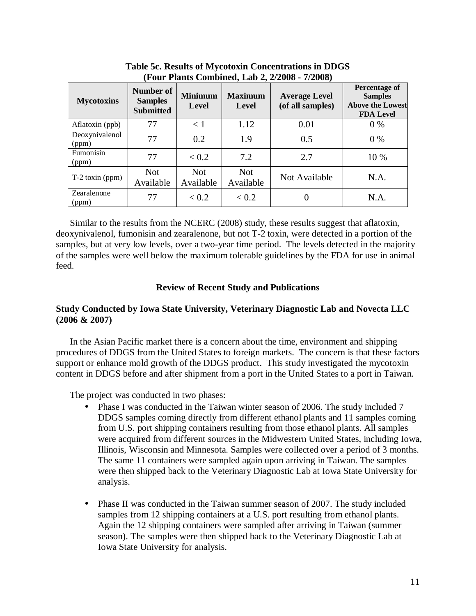| <b>Mycotoxins</b>       | Number of<br><b>Samples</b><br><b>Submitted</b> | <b>Minimum</b><br>Level | <b>Maximum</b><br>Level | <b>Average Level</b><br>(of all samples) | <b>Percentage of</b><br><b>Samples</b><br><b>Above the Lowest</b><br><b>FDA Level</b> |
|-------------------------|-------------------------------------------------|-------------------------|-------------------------|------------------------------------------|---------------------------------------------------------------------------------------|
| Aflatoxin (ppb)         | 77                                              | $\leq 1$                | 1.12                    | 0.01                                     | $0\%$                                                                                 |
| Deoxynivalenol<br>(ppm) | 77                                              | 0.2                     | 1.9                     | 0.5                                      | $0\%$                                                                                 |
| Fumonisin<br>(ppm)      | 77                                              | < 0.2                   | 7.2                     | 2.7                                      | 10 %                                                                                  |
| $T-2$ toxin (ppm)       | <b>Not</b><br>Available                         | <b>Not</b><br>Available | <b>Not</b><br>Available | Not Available                            | N.A.                                                                                  |
| Zearalenone<br>(ppm)    | 77                                              | < 0.2                   | < 0.2                   | 0                                        | N.A.                                                                                  |

**Table 5c. Results of Mycotoxin Concentrations in DDGS (Four Plants Combined, Lab 2, 2/2008 - 7/2008)** 

 Similar to the results from the NCERC (2008) study, these results suggest that aflatoxin, deoxynivalenol, fumonisin and zearalenone, but not T-2 toxin, were detected in a portion of the samples, but at very low levels, over a two-year time period. The levels detected in the majority of the samples were well below the maximum tolerable guidelines by the FDA for use in animal feed.

### **Review of Recent Study and Publications**

### **Study Conducted by Iowa State University, Veterinary Diagnostic Lab and Novecta LLC (2006 & 2007)**

In the Asian Pacific market there is a concern about the time, environment and shipping procedures of DDGS from the United States to foreign markets. The concern is that these factors support or enhance mold growth of the DDGS product. This study investigated the mycotoxin content in DDGS before and after shipment from a port in the United States to a port in Taiwan.

The project was conducted in two phases:

- Phase I was conducted in the Taiwan winter season of 2006. The study included 7 DDGS samples coming directly from different ethanol plants and 11 samples coming from U.S. port shipping containers resulting from those ethanol plants. All samples were acquired from different sources in the Midwestern United States, including Iowa, Illinois, Wisconsin and Minnesota. Samples were collected over a period of 3 months. The same 11 containers were sampled again upon arriving in Taiwan. The samples were then shipped back to the Veterinary Diagnostic Lab at Iowa State University for analysis.
- Phase II was conducted in the Taiwan summer season of 2007. The study included samples from 12 shipping containers at a U.S. port resulting from ethanol plants. Again the 12 shipping containers were sampled after arriving in Taiwan (summer season). The samples were then shipped back to the Veterinary Diagnostic Lab at Iowa State University for analysis.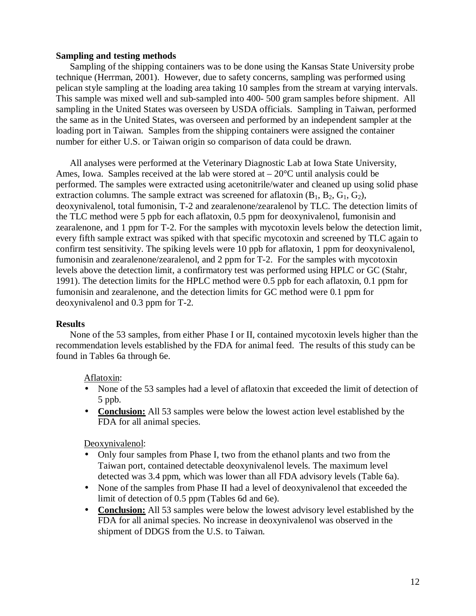### **Sampling and testing methods**

 Sampling of the shipping containers was to be done using the Kansas State University probe technique (Herrman, 2001). However, due to safety concerns, sampling was performed using pelican style sampling at the loading area taking 10 samples from the stream at varying intervals. This sample was mixed well and sub-sampled into 400- 500 gram samples before shipment. All sampling in the United States was overseen by USDA officials. Sampling in Taiwan, performed the same as in the United States, was overseen and performed by an independent sampler at the loading port in Taiwan. Samples from the shipping containers were assigned the container number for either U.S. or Taiwan origin so comparison of data could be drawn.

 All analyses were performed at the Veterinary Diagnostic Lab at Iowa State University, Ames, Iowa. Samples received at the lab were stored at  $-20^{\circ}$ C until analysis could be performed. The samples were extracted using acetonitrile/water and cleaned up using solid phase extraction columns. The sample extract was screened for aflatoxin  $(B_1, B_2, G_1, G_2)$ , deoxynivalenol, total fumonisin, T-2 and zearalenone/zearalenol by TLC. The detection limits of the TLC method were 5 ppb for each aflatoxin, 0.5 ppm for deoxynivalenol, fumonisin and zearalenone, and 1 ppm for T-2. For the samples with mycotoxin levels below the detection limit, every fifth sample extract was spiked with that specific mycotoxin and screened by TLC again to confirm test sensitivity. The spiking levels were 10 ppb for aflatoxin, 1 ppm for deoxynivalenol, fumonisin and zearalenone/zearalenol, and 2 ppm for T-2. For the samples with mycotoxin levels above the detection limit, a confirmatory test was performed using HPLC or GC (Stahr, 1991). The detection limits for the HPLC method were 0.5 ppb for each aflatoxin, 0.1 ppm for fumonisin and zearalenone, and the detection limits for GC method were 0.1 ppm for deoxynivalenol and 0.3 ppm for T-2.

### **Results**

 None of the 53 samples, from either Phase I or II, contained mycotoxin levels higher than the recommendation levels established by the FDA for animal feed. The results of this study can be found in Tables 6a through 6e.

### Aflatoxin:

- None of the 53 samples had a level of aflatoxin that exceeded the limit of detection of 5 ppb.
- **Conclusion:** All 53 samples were below the lowest action level established by the FDA for all animal species.

Deoxynivalenol:

- Only four samples from Phase I, two from the ethanol plants and two from the Taiwan port, contained detectable deoxynivalenol levels. The maximum level detected was 3.4 ppm, which was lower than all FDA advisory levels (Table 6a).
- None of the samples from Phase II had a level of deoxynivalenol that exceeded the limit of detection of 0.5 ppm (Tables 6d and 6e).
- **Conclusion:** All 53 samples were below the lowest advisory level established by the FDA for all animal species. No increase in deoxynivalenol was observed in the shipment of DDGS from the U.S. to Taiwan.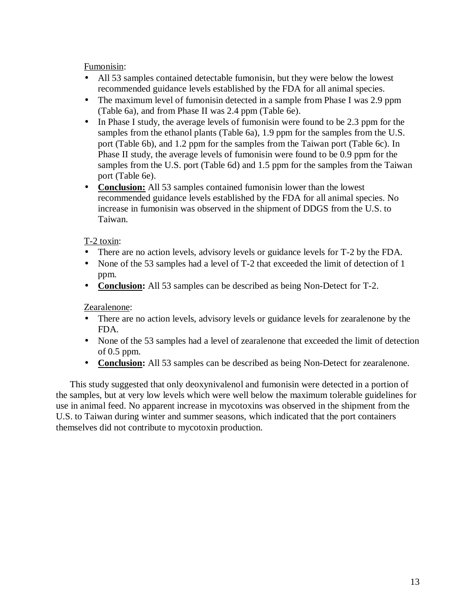Fumonisin:

- All 53 samples contained detectable fumonisin, but they were below the lowest recommended guidance levels established by the FDA for all animal species.
- The maximum level of fumonisin detected in a sample from Phase I was 2.9 ppm (Table 6a), and from Phase II was 2.4 ppm (Table 6e).
- In Phase I study, the average levels of fumonisin were found to be 2.3 ppm for the samples from the ethanol plants (Table 6a), 1.9 ppm for the samples from the U.S. port (Table 6b), and 1.2 ppm for the samples from the Taiwan port (Table 6c). In Phase II study, the average levels of fumonisin were found to be 0.9 ppm for the samples from the U.S. port (Table 6d) and 1.5 ppm for the samples from the Taiwan port (Table 6e).
- **Conclusion:** All 53 samples contained fumonisin lower than the lowest recommended guidance levels established by the FDA for all animal species. No increase in fumonisin was observed in the shipment of DDGS from the U.S. to Taiwan.

# T-2 toxin:

- There are no action levels, advisory levels or guidance levels for T-2 by the FDA.
- None of the 53 samples had a level of T-2 that exceeded the limit of detection of 1 ppm.
- **Conclusion:** All 53 samples can be described as being Non-Detect for T-2.

## Zearalenone:

- There are no action levels, advisory levels or guidance levels for zearalenone by the FDA.
- None of the 53 samples had a level of zearalenone that exceeded the limit of detection of 0.5 ppm.
- **Conclusion:** All 53 samples can be described as being Non-Detect for zearalenone.

 This study suggested that only deoxynivalenol and fumonisin were detected in a portion of the samples, but at very low levels which were well below the maximum tolerable guidelines for use in animal feed. No apparent increase in mycotoxins was observed in the shipment from the U.S. to Taiwan during winter and summer seasons, which indicated that the port containers themselves did not contribute to mycotoxin production.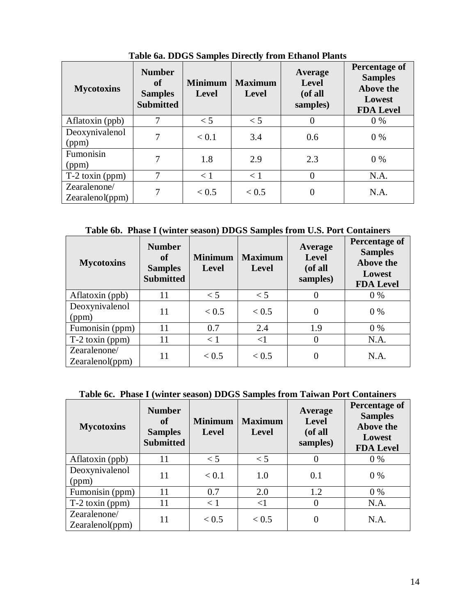| <b>Mycotoxins</b>               | <b>Number</b><br>of<br><b>Samples</b><br><b>Submitted</b> | <b>Minimum</b><br><b>Level</b> | <b>Maximum</b><br><b>Level</b> | Average<br><b>Level</b><br>(of all<br>samples) | Percentage of<br><b>Samples</b><br>Above the<br>Lowest<br><b>FDA Level</b> |
|---------------------------------|-----------------------------------------------------------|--------------------------------|--------------------------------|------------------------------------------------|----------------------------------------------------------------------------|
| Aflatoxin (ppb)                 | 7                                                         | $\lt$ 5                        | $\lt$ 5                        | 0                                              | $0\%$                                                                      |
| Deoxynivalenol<br>(ppm)         | 7                                                         | < 0.1                          | 3.4                            | 0.6                                            | $0\%$                                                                      |
| Fumonisin<br>(ppm)              | 7                                                         | 1.8                            | 2.9                            | 2.3                                            | $0\%$                                                                      |
| $T-2$ toxin (ppm)               | 7                                                         | < 1                            | < 1                            | $\theta$                                       | N.A.                                                                       |
| Zearalenone/<br>Zearalenol(ppm) | 7                                                         | < 0.5                          | < 0.5                          | 0                                              | N.A.                                                                       |

**Table 6a. DDGS Samples Directly from Ethanol Plants** 

**Table 6b. Phase I (winter season) DDGS Samples from U.S. Port Containers** 

| <b>Mycotoxins</b>               | <b>Number</b><br><sub>of</sub><br><b>Samples</b><br><b>Submitted</b> | <b>Minimum</b><br><b>Level</b> | <b>Maximum</b><br><b>Level</b> | Average<br><b>Level</b><br>(of all<br>samples) | <b>Percentage of</b><br><b>Samples</b><br>Above the<br>Lowest<br><b>FDA Level</b> |
|---------------------------------|----------------------------------------------------------------------|--------------------------------|--------------------------------|------------------------------------------------|-----------------------------------------------------------------------------------|
| Aflatoxin (ppb)                 | 11                                                                   | $\leq 5$                       | $<$ 5                          | 0                                              | $0\%$                                                                             |
| Deoxynivalenol<br>(ppm)         | 11                                                                   | < 0.5                          | < 0.5                          | 0                                              | $0\%$                                                                             |
| Fumonisin (ppm)                 | 11                                                                   | 0.7                            | 2.4                            | 1.9                                            | $0\%$                                                                             |
| $T-2$ toxin (ppm)               | 11                                                                   | < 1                            | $<$ 1                          | $\Omega$                                       | N.A.                                                                              |
| Zearalenone/<br>Zearalenol(ppm) | 11                                                                   | < 0.5                          | < 0.5                          |                                                | N.A.                                                                              |

# **Table 6c. Phase I (winter season) DDGS Samples from Taiwan Port Containers**

| <b>Mycotoxins</b>               | <b>Number</b><br>of<br><b>Samples</b><br><b>Submitted</b> | <b>Minimum</b><br><b>Level</b> | <b>Maximum</b><br><b>Level</b> | Average<br><b>Level</b><br>(of all<br>samples) | Percentage of<br><b>Samples</b><br>Above the<br>Lowest<br><b>FDA Level</b> |
|---------------------------------|-----------------------------------------------------------|--------------------------------|--------------------------------|------------------------------------------------|----------------------------------------------------------------------------|
| Aflatoxin (ppb)                 | 11                                                        | $<$ 5                          | $<$ 5                          | $\Omega$                                       | $0\%$                                                                      |
| Deoxynivalenol<br>(ppm)         | 11                                                        | < 0.1                          | 1.0                            | 0.1                                            | $0\%$                                                                      |
| Fumonisin (ppm)                 | 11                                                        | 0.7                            | 2.0                            | 1.2                                            | $0\%$                                                                      |
| $T-2$ toxin (ppm)               | 11                                                        | < 1                            | $<$ 1                          | $\Omega$                                       | N.A.                                                                       |
| Zearalenone/<br>Zearalenol(ppm) | 11                                                        | < 0.5                          | < 0.5                          | $\Omega$                                       | N.A.                                                                       |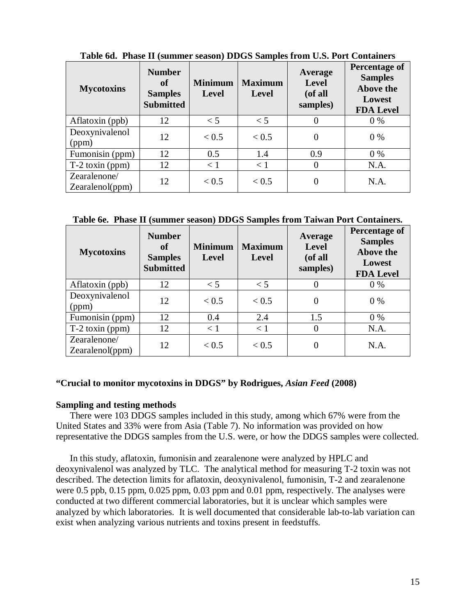| <b>Mycotoxins</b>               | <b>Number</b><br><sub>of</sub><br><b>Samples</b><br><b>Submitted</b> | <b>Minimum</b><br><b>Level</b> | <b>Maximum</b><br><b>Level</b> | Average<br><b>Level</b><br>(of all<br>samples) | Percentage of<br><b>Samples</b><br>Above the<br>Lowest<br><b>FDA Level</b> |
|---------------------------------|----------------------------------------------------------------------|--------------------------------|--------------------------------|------------------------------------------------|----------------------------------------------------------------------------|
| Aflatoxin (ppb)                 | 12                                                                   | $\leq 5$                       | $\leq 5$                       |                                                | $0\%$                                                                      |
| Deoxynivalenol<br>(ppm)         | 12                                                                   | < 0.5                          | < 0.5                          | 0                                              | $0\%$                                                                      |
| Fumonisin (ppm)                 | 12                                                                   | 0.5                            | 1.4                            | 0.9                                            | $0\%$                                                                      |
| $T-2$ toxin (ppm)               | 12                                                                   | < 1                            | $\lt 1$                        | 0                                              | N.A.                                                                       |
| Zearalenone/<br>Zearalenol(ppm) | 12                                                                   | < 0.5                          | < 0.5                          |                                                | N.A.                                                                       |

**Table 6d. Phase II (summer season) DDGS Samples from U.S. Port Containers** 

**Table 6e. Phase II (summer season) DDGS Samples from Taiwan Port Containers.** 

| <b>Mycotoxins</b>               | <b>Number</b><br><b>of</b><br><b>Samples</b><br><b>Submitted</b> | <b>Minimum</b><br><b>Level</b> | <b>Maximum</b><br><b>Level</b> | Average<br><b>Level</b><br>(of all<br>samples) | Percentage of<br><b>Samples</b><br>Above the<br>Lowest<br><b>FDA Level</b> |
|---------------------------------|------------------------------------------------------------------|--------------------------------|--------------------------------|------------------------------------------------|----------------------------------------------------------------------------|
| Aflatoxin (ppb)                 | 12                                                               | $\leq 5$                       | $<$ 5                          | 0                                              | $0\%$                                                                      |
| Deoxynivalenol<br>(ppm)         | 12                                                               | < 0.5                          | < 0.5                          | 0                                              | $0\%$                                                                      |
| Fumonisin (ppm)                 | 12                                                               | 0.4                            | 2.4                            | 1.5                                            | $0\%$                                                                      |
| $T-2$ toxin (ppm)               | 12                                                               | < 1                            | $\lt 1$                        | $\theta$                                       | N.A.                                                                       |
| Zearalenone/<br>Zearalenol(ppm) | 12.                                                              | < 0.5                          | < 0.5                          | $\overline{0}$                                 | N.A.                                                                       |

### **"Crucial to monitor mycotoxins in DDGS" by Rodrigues,** *Asian Feed* **(2008)**

### **Sampling and testing methods**

 There were 103 DDGS samples included in this study, among which 67% were from the United States and 33% were from Asia (Table 7). No information was provided on how representative the DDGS samples from the U.S. were, or how the DDGS samples were collected.

 In this study, aflatoxin, fumonisin and zearalenone were analyzed by HPLC and deoxynivalenol was analyzed by TLC. The analytical method for measuring T-2 toxin was not described. The detection limits for aflatoxin, deoxynivalenol, fumonisin, T-2 and zearalenone were 0.5 ppb, 0.15 ppm, 0.025 ppm, 0.03 ppm and 0.01 ppm, respectively. The analyses were conducted at two different commercial laboratories, but it is unclear which samples were analyzed by which laboratories. It is well documented that considerable lab-to-lab variation can exist when analyzing various nutrients and toxins present in feedstuffs.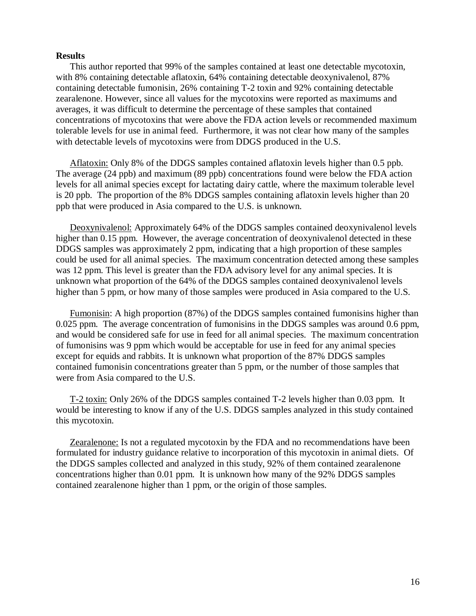#### **Results**

 This author reported that 99% of the samples contained at least one detectable mycotoxin, with 8% containing detectable aflatoxin, 64% containing detectable deoxynivalenol, 87% containing detectable fumonisin, 26% containing T-2 toxin and 92% containing detectable zearalenone. However, since all values for the mycotoxins were reported as maximums and averages, it was difficult to determine the percentage of these samples that contained concentrations of mycotoxins that were above the FDA action levels or recommended maximum tolerable levels for use in animal feed. Furthermore, it was not clear how many of the samples with detectable levels of mycotoxins were from DDGS produced in the U.S.

 Aflatoxin: Only 8% of the DDGS samples contained aflatoxin levels higher than 0.5 ppb. The average (24 ppb) and maximum (89 ppb) concentrations found were below the FDA action levels for all animal species except for lactating dairy cattle, where the maximum tolerable level is 20 ppb. The proportion of the 8% DDGS samples containing aflatoxin levels higher than 20 ppb that were produced in Asia compared to the U.S. is unknown.

 Deoxynivalenol: Approximately 64% of the DDGS samples contained deoxynivalenol levels higher than 0.15 ppm. However, the average concentration of deoxynivalenol detected in these DDGS samples was approximately 2 ppm, indicating that a high proportion of these samples could be used for all animal species. The maximum concentration detected among these samples was 12 ppm. This level is greater than the FDA advisory level for any animal species. It is unknown what proportion of the 64% of the DDGS samples contained deoxynivalenol levels higher than 5 ppm, or how many of those samples were produced in Asia compared to the U.S.

 Fumonisin: A high proportion (87%) of the DDGS samples contained fumonisins higher than 0.025 ppm. The average concentration of fumonisins in the DDGS samples was around 0.6 ppm, and would be considered safe for use in feed for all animal species. The maximum concentration of fumonisins was 9 ppm which would be acceptable for use in feed for any animal species except for equids and rabbits. It is unknown what proportion of the 87% DDGS samples contained fumonisin concentrations greater than 5 ppm, or the number of those samples that were from Asia compared to the U.S.

 T-2 toxin: Only 26% of the DDGS samples contained T-2 levels higher than 0.03 ppm. It would be interesting to know if any of the U.S. DDGS samples analyzed in this study contained this mycotoxin.

 Zearalenone: Is not a regulated mycotoxin by the FDA and no recommendations have been formulated for industry guidance relative to incorporation of this mycotoxin in animal diets. Of the DDGS samples collected and analyzed in this study, 92% of them contained zearalenone concentrations higher than 0.01 ppm. It is unknown how many of the 92% DDGS samples contained zearalenone higher than 1 ppm, or the origin of those samples.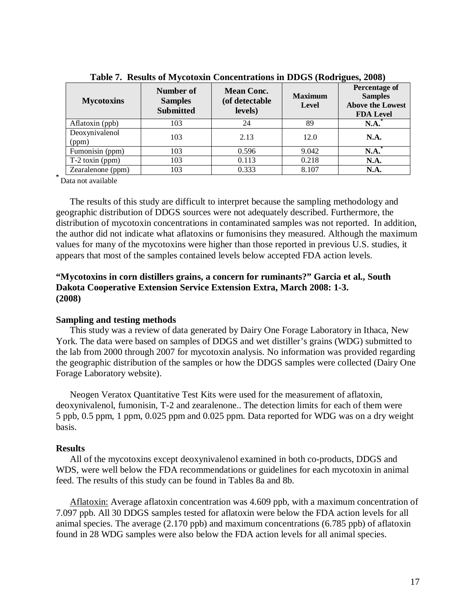| <b>Mycotoxins</b>       | Number of<br><b>Samples</b><br><b>Submitted</b> | <b>Mean Conc.</b><br>(of detectable<br>levels) | <b>Maximum</b><br>Level | <b>Percentage of</b><br><b>Samples</b><br><b>Above the Lowest</b><br><b>FDA Level</b> |
|-------------------------|-------------------------------------------------|------------------------------------------------|-------------------------|---------------------------------------------------------------------------------------|
| Aflatoxin (ppb)         | 103                                             | 24                                             | 89                      | N.A.                                                                                  |
| Deoxynivalenol<br>(ppm) | 103                                             | 2.13                                           | 12.0                    | <b>N.A.</b>                                                                           |
| Fumonisin (ppm)         | 103                                             | 0.596                                          | 9.042                   | $N.A.^*$                                                                              |
| $T-2$ toxin (ppm)       | 103                                             | 0.113                                          | 0.218                   | N.A.                                                                                  |
| Zearalenone (ppm)       | 103                                             | 0.333                                          | 8.107                   | N.A.                                                                                  |

**Table 7. Results of Mycotoxin Concentrations in DDGS (Rodrigues, 2008)** 

**\*** Data not available

 The results of this study are difficult to interpret because the sampling methodology and geographic distribution of DDGS sources were not adequately described. Furthermore, the distribution of mycotoxin concentrations in contaminated samples was not reported. In addition, the author did not indicate what aflatoxins or fumonisins they measured. Although the maximum values for many of the mycotoxins were higher than those reported in previous U.S. studies, it appears that most of the samples contained levels below accepted FDA action levels.

## **"Mycotoxins in corn distillers grains, a concern for ruminants?" Garcia et al., South Dakota Cooperative Extension Service Extension Extra, March 2008: 1-3. (2008)**

### **Sampling and testing methods**

 This study was a review of data generated by Dairy One Forage Laboratory in Ithaca, New York. The data were based on samples of DDGS and wet distiller's grains (WDG) submitted to the lab from 2000 through 2007 for mycotoxin analysis. No information was provided regarding the geographic distribution of the samples or how the DDGS samples were collected (Dairy One Forage Laboratory website).

 Neogen Veratox Quantitative Test Kits were used for the measurement of aflatoxin, deoxynivalenol, fumonisin, T-2 and zearalenone.. The detection limits for each of them were 5 ppb, 0.5 ppm, 1 ppm, 0.025 ppm and 0.025 ppm. Data reported for WDG was on a dry weight basis.

### **Results**

All of the mycotoxins except deoxynivalenol examined in both co-products, DDGS and WDS, were well below the FDA recommendations or guidelines for each mycotoxin in animal feed. The results of this study can be found in Tables 8a and 8b.

 Aflatoxin: Average aflatoxin concentration was 4.609 ppb, with a maximum concentration of 7.097 ppb. All 30 DDGS samples tested for aflatoxin were below the FDA action levels for all animal species. The average (2.170 ppb) and maximum concentrations (6.785 ppb) of aflatoxin found in 28 WDG samples were also below the FDA action levels for all animal species.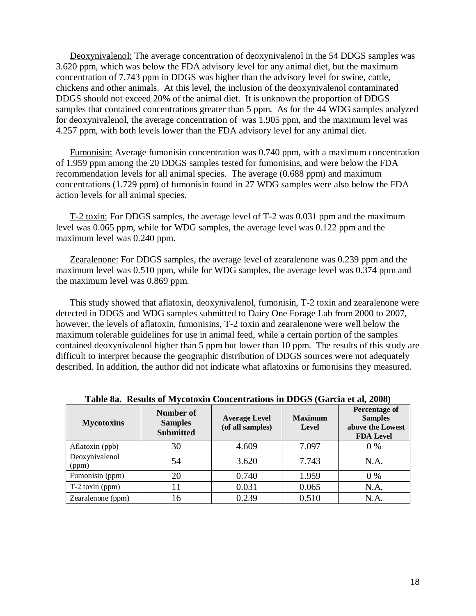Deoxynivalenol: The average concentration of deoxynivalenol in the 54 DDGS samples was 3.620 ppm, which was below the FDA advisory level for any animal diet, but the maximum concentration of 7.743 ppm in DDGS was higher than the advisory level for swine, cattle, chickens and other animals. At this level, the inclusion of the deoxynivalenol contaminated DDGS should not exceed 20% of the animal diet. It is unknown the proportion of DDGS samples that contained concentrations greater than 5 ppm. As for the 44 WDG samples analyzed for deoxynivalenol, the average concentration of was 1.905 ppm, and the maximum level was 4.257 ppm, with both levels lower than the FDA advisory level for any animal diet.

 Fumonisin: Average fumonisin concentration was 0.740 ppm, with a maximum concentration of 1.959 ppm among the 20 DDGS samples tested for fumonisins, and were below the FDA recommendation levels for all animal species. The average (0.688 ppm) and maximum concentrations (1.729 ppm) of fumonisin found in 27 WDG samples were also below the FDA action levels for all animal species.

 T-2 toxin: For DDGS samples, the average level of T-2 was 0.031 ppm and the maximum level was 0.065 ppm, while for WDG samples, the average level was 0.122 ppm and the maximum level was 0.240 ppm.

Zearalenone: For DDGS samples, the average level of zearalenone was 0.239 ppm and the maximum level was 0.510 ppm, while for WDG samples, the average level was 0.374 ppm and the maximum level was 0.869 ppm.

 This study showed that aflatoxin, deoxynivalenol, fumonisin, T-2 toxin and zearalenone were detected in DDGS and WDG samples submitted to Dairy One Forage Lab from 2000 to 2007, however, the levels of aflatoxin, fumonisins, T-2 toxin and zearalenone were well below the maximum tolerable guidelines for use in animal feed, while a certain portion of the samples contained deoxynivalenol higher than 5 ppm but lower than 10 ppm. The results of this study are difficult to interpret because the geographic distribution of DDGS sources were not adequately described. In addition, the author did not indicate what aflatoxins or fumonisins they measured.

| <b>Mycotoxins</b>       | Number of<br><b>Samples</b><br><b>Submitted</b> | <b>Average Level</b><br>(of all samples) | <b>Maximum</b><br>Level | <b>Percentage of</b><br><b>Samples</b><br>above the Lowest<br><b>FDA Level</b> |
|-------------------------|-------------------------------------------------|------------------------------------------|-------------------------|--------------------------------------------------------------------------------|
| Aflatoxin (ppb)         | 30                                              | 4.609                                    | 7.097                   | $0\%$                                                                          |
| Deoxynivalenol<br>(ppm) | 54                                              | 3.620                                    | 7.743                   | N.A.                                                                           |
| Fumonisin (ppm)         | 20                                              | 0.740                                    | 1.959                   | $0\%$                                                                          |
| $T-2$ toxin (ppm)       |                                                 | 0.031                                    | 0.065                   | N.A.                                                                           |
| Zearalenone (ppm)       | 16                                              | 0.239                                    | 0.510                   | N.A.                                                                           |

#### **Table 8a. Results of Mycotoxin Concentrations in DDGS (Garcia et al, 2008)**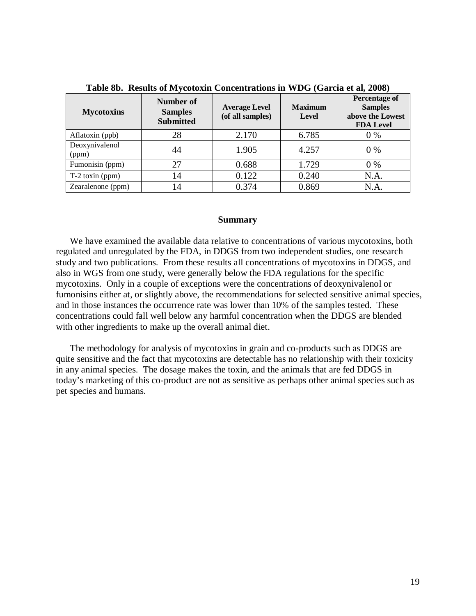| <b>Mycotoxins</b>       | Number of<br><b>Samples</b><br><b>Submitted</b> | <b>Average Level</b><br>(of all samples) | <b>Maximum</b><br><b>Level</b> | Percentage of<br><b>Samples</b><br>above the Lowest<br><b>FDA Level</b> |
|-------------------------|-------------------------------------------------|------------------------------------------|--------------------------------|-------------------------------------------------------------------------|
| Aflatoxin (ppb)         | 28                                              | 2.170                                    | 6.785                          | $0\%$                                                                   |
| Deoxynivalenol<br>(ppm) | 44                                              | 1.905                                    | 4.257                          | $0\%$                                                                   |
| Fumonisin (ppm)         | 27                                              | 0.688                                    | 1.729                          | $0\%$                                                                   |
| $T-2$ toxin (ppm)       | 14                                              | 0.122                                    | 0.240                          | N.A.                                                                    |
| Zearalenone (ppm)       | ι4                                              | 0.374                                    | 0.869                          | N.A.                                                                    |

**Table 8b. Results of Mycotoxin Concentrations in WDG (Garcia et al, 2008)** 

#### **Summary**

 We have examined the available data relative to concentrations of various mycotoxins, both regulated and unregulated by the FDA, in DDGS from two independent studies, one research study and two publications. From these results all concentrations of mycotoxins in DDGS, and also in WGS from one study, were generally below the FDA regulations for the specific mycotoxins. Only in a couple of exceptions were the concentrations of deoxynivalenol or fumonisins either at, or slightly above, the recommendations for selected sensitive animal species, and in those instances the occurrence rate was lower than 10% of the samples tested. These concentrations could fall well below any harmful concentration when the DDGS are blended with other ingredients to make up the overall animal diet.

 The methodology for analysis of mycotoxins in grain and co-products such as DDGS are quite sensitive and the fact that mycotoxins are detectable has no relationship with their toxicity in any animal species. The dosage makes the toxin, and the animals that are fed DDGS in today's marketing of this co-product are not as sensitive as perhaps other animal species such as pet species and humans.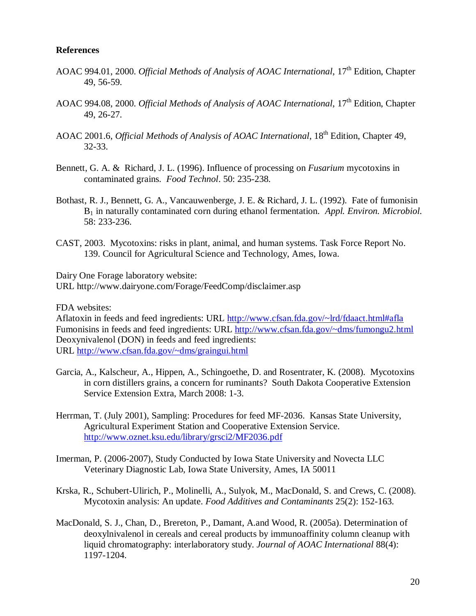### **References**

- AOAC 994.01, 2000. *Official Methods of Analysis of AOAC International*, 17<sup>th</sup> Edition, Chapter 49, 56-59.
- AOAC 994.08, 2000. *Official Methods of Analysis of AOAC International*, 17<sup>th</sup> Edition, Chapter 49, 26-27.
- AOAC 2001.6, *Official Methods of Analysis of AOAC International*, 18<sup>th</sup> Edition, Chapter 49, 32-33.
- Bennett, G. A. & Richard, J. L. (1996). Influence of processing on *Fusarium* mycotoxins in contaminated grains. *Food Technol*. 50: 235-238.
- Bothast, R. J., Bennett, G. A., Vancauwenberge, J. E. & Richard, J. L. (1992). Fate of fumonisin B1 in naturally contaminated corn during ethanol fermentation. *Appl. Environ. Microbiol*. 58: 233-236.
- CAST, 2003. Mycotoxins: risks in plant, animal, and human systems. Task Force Report No. 139. Council for Agricultural Science and Technology, Ames, Iowa.

Dairy One Forage laboratory website: URL http://www.dairyone.com/Forage/FeedComp/disclaimer.asp

FDA websites:

Aflatoxin in feeds and feed ingredients: URL http://www.cfsan.fda.gov/~lrd/fdaact.html#afla Fumonisins in feeds and feed ingredients: URL http://www.cfsan.fda.gov/~dms/fumongu2.html Deoxynivalenol (DON) in feeds and feed ingredients: URL http://www.cfsan.fda.gov/~dms/graingui.html

- Garcia, A., Kalscheur, A., Hippen, A., Schingoethe, D. and Rosentrater, K. (2008). Mycotoxins in corn distillers grains, a concern for ruminants? South Dakota Cooperative Extension Service Extension Extra, March 2008: 1-3.
- Herrman, T. (July 2001), Sampling: Procedures for feed MF-2036. Kansas State University, Agricultural Experiment Station and Cooperative Extension Service. http://www.oznet.ksu.edu/library/grsci2/MF2036.pdf
- Imerman, P. (2006-2007), Study Conducted by Iowa State University and Novecta LLC Veterinary Diagnostic Lab, Iowa State University, Ames, IA 50011
- Krska, R., Schubert-Ulirich, P., Molinelli, A., Sulyok, M., MacDonald, S. and Crews, C. (2008). Mycotoxin analysis: An update. *Food Additives and Contaminants* 25(2): 152-163.
- MacDonald, S. J., Chan, D., Brereton, P., Damant, A.and Wood, R. (2005a). Determination of deoxylnivalenol in cereals and cereal products by immunoaffinity column cleanup with liquid chromatography: interlaboratory study. *Journal of AOAC International* 88(4): 1197-1204.